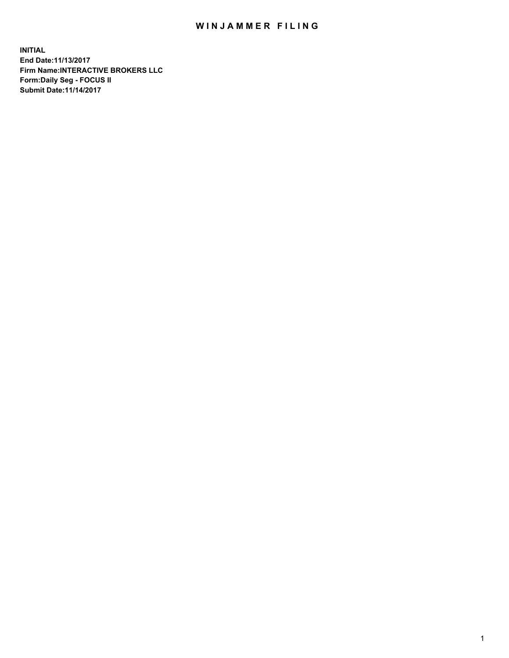## WIN JAMMER FILING

**INITIAL End Date:11/13/2017 Firm Name:INTERACTIVE BROKERS LLC Form:Daily Seg - FOCUS II Submit Date:11/14/2017**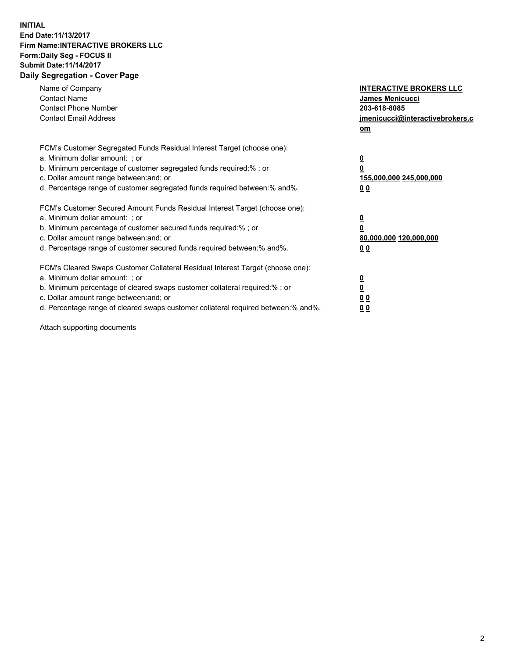## **INITIAL End Date:11/13/2017 Firm Name:INTERACTIVE BROKERS LLC Form:Daily Seg - FOCUS II Submit Date:11/14/2017 Daily Segregation - Cover Page**

| Name of Company<br><b>Contact Name</b><br><b>Contact Phone Number</b><br><b>Contact Email Address</b>                                                                                                                                                                                                                          | <b>INTERACTIVE BROKERS LLC</b><br><b>James Menicucci</b><br>203-618-8085<br>jmenicucci@interactivebrokers.c<br>om |
|--------------------------------------------------------------------------------------------------------------------------------------------------------------------------------------------------------------------------------------------------------------------------------------------------------------------------------|-------------------------------------------------------------------------------------------------------------------|
| FCM's Customer Segregated Funds Residual Interest Target (choose one):<br>a. Minimum dollar amount: ; or<br>b. Minimum percentage of customer segregated funds required:% ; or<br>c. Dollar amount range between: and; or<br>d. Percentage range of customer segregated funds required between:% and%.                         | <u>0</u><br>0<br>155,000,000 245,000,000<br>0 <sub>0</sub>                                                        |
| FCM's Customer Secured Amount Funds Residual Interest Target (choose one):<br>a. Minimum dollar amount: ; or<br>b. Minimum percentage of customer secured funds required:% ; or<br>c. Dollar amount range between: and; or<br>d. Percentage range of customer secured funds required between: % and %.                         | $\underline{\mathbf{0}}$<br>0<br>80,000,000 120,000,000<br>00                                                     |
| FCM's Cleared Swaps Customer Collateral Residual Interest Target (choose one):<br>a. Minimum dollar amount: ; or<br>b. Minimum percentage of cleared swaps customer collateral required:% ; or<br>c. Dollar amount range between: and; or<br>d. Percentage range of cleared swaps customer collateral required between:% and%. | $\overline{\mathbf{0}}$<br>$\overline{\mathbf{0}}$<br>0 <sub>0</sub><br>00                                        |

Attach supporting documents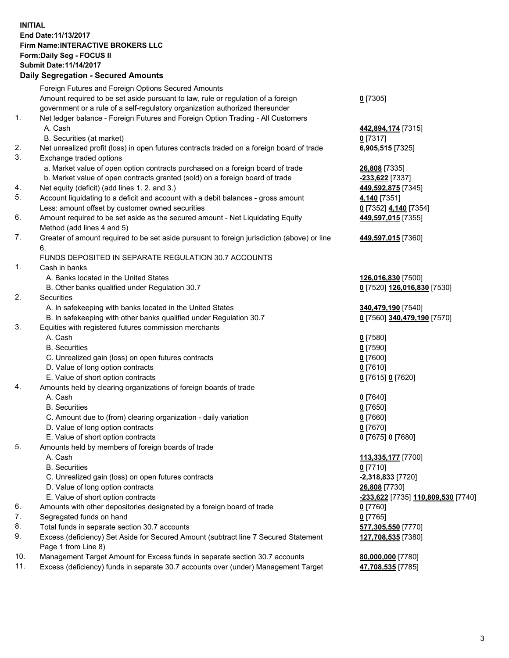## **INITIAL End Date:11/13/2017 Firm Name:INTERACTIVE BROKERS LLC Form:Daily Seg - FOCUS II Submit Date:11/14/2017 Daily Segregation - Secured Amounts**

|                | Daily Jegiegation - Jeculed Aniounts                                                                       |                                    |
|----------------|------------------------------------------------------------------------------------------------------------|------------------------------------|
|                | Foreign Futures and Foreign Options Secured Amounts                                                        |                                    |
|                | Amount required to be set aside pursuant to law, rule or regulation of a foreign                           | $0$ [7305]                         |
|                | government or a rule of a self-regulatory organization authorized thereunder                               |                                    |
| 1.             | Net ledger balance - Foreign Futures and Foreign Option Trading - All Customers                            |                                    |
|                | A. Cash                                                                                                    | 442,894,174 [7315]                 |
|                | B. Securities (at market)                                                                                  | $0$ [7317]                         |
| 2.             | Net unrealized profit (loss) in open futures contracts traded on a foreign board of trade                  | 6,905,515 [7325]                   |
| 3.             | Exchange traded options                                                                                    |                                    |
|                | a. Market value of open option contracts purchased on a foreign board of trade                             | 26,808 [7335]                      |
|                | b. Market value of open contracts granted (sold) on a foreign board of trade                               | -233,622 [7337]                    |
| 4.             | Net equity (deficit) (add lines 1.2. and 3.)                                                               | 449,592,875 [7345]                 |
| 5.             | Account liquidating to a deficit and account with a debit balances - gross amount                          | 4,140 [7351]                       |
|                | Less: amount offset by customer owned securities                                                           | 0 [7352] 4,140 [7354]              |
| 6.             | Amount required to be set aside as the secured amount - Net Liquidating Equity                             | 449,597,015 [7355]                 |
|                | Method (add lines 4 and 5)                                                                                 |                                    |
| 7.             | Greater of amount required to be set aside pursuant to foreign jurisdiction (above) or line                | 449,597,015 [7360]                 |
|                | 6.                                                                                                         |                                    |
|                | FUNDS DEPOSITED IN SEPARATE REGULATION 30.7 ACCOUNTS                                                       |                                    |
| $\mathbf{1}$ . | Cash in banks                                                                                              |                                    |
|                | A. Banks located in the United States                                                                      | 126,016,830 [7500]                 |
|                | B. Other banks qualified under Regulation 30.7                                                             | 0 [7520] 126,016,830 [7530]        |
| 2.             | Securities                                                                                                 |                                    |
|                | A. In safekeeping with banks located in the United States                                                  | 340,479,190 [7540]                 |
|                | B. In safekeeping with other banks qualified under Regulation 30.7                                         | 0 [7560] 340,479,190 [7570]        |
| 3.             | Equities with registered futures commission merchants                                                      |                                    |
|                | A. Cash                                                                                                    | $0$ [7580]                         |
|                | <b>B.</b> Securities                                                                                       | $0$ [7590]                         |
|                | C. Unrealized gain (loss) on open futures contracts                                                        | $0$ [7600]                         |
|                | D. Value of long option contracts                                                                          | $0$ [7610]                         |
|                | E. Value of short option contracts                                                                         | 0 [7615] 0 [7620]                  |
| 4.             | Amounts held by clearing organizations of foreign boards of trade                                          |                                    |
|                | A. Cash                                                                                                    | $0$ [7640]                         |
|                | <b>B.</b> Securities                                                                                       | $0$ [7650]                         |
|                | C. Amount due to (from) clearing organization - daily variation                                            | $0$ [7660]                         |
|                | D. Value of long option contracts                                                                          | $0$ [7670]                         |
|                | E. Value of short option contracts                                                                         | 0 [7675] 0 [7680]                  |
| 5.             | Amounts held by members of foreign boards of trade                                                         |                                    |
|                | A. Cash                                                                                                    | 113,335,177 [7700]                 |
|                | <b>B.</b> Securities                                                                                       | $0$ [7710]                         |
|                | C. Unrealized gain (loss) on open futures contracts                                                        | <u>-2,318,833</u> [7720]           |
|                | D. Value of long option contracts                                                                          | 26,808 [7730]                      |
|                | E. Value of short option contracts                                                                         | -233,622 [7735] 110,809,530 [7740] |
| 6.             | Amounts with other depositories designated by a foreign board of trade                                     | 0 [7760]                           |
| 7.             | Segregated funds on hand                                                                                   | $0$ [7765]                         |
| 8.             | Total funds in separate section 30.7 accounts                                                              | 577,305,550 [7770]                 |
| 9.             | Excess (deficiency) Set Aside for Secured Amount (subtract line 7 Secured Statement<br>Page 1 from Line 8) | 127,708,535 [7380]                 |
| 10.            | Management Target Amount for Excess funds in separate section 30.7 accounts                                | 80,000,000 [7780]                  |
| 11.            | Excess (deficiency) funds in separate 30.7 accounts over (under) Management Target                         | 47,708,535 [7785]                  |
|                |                                                                                                            |                                    |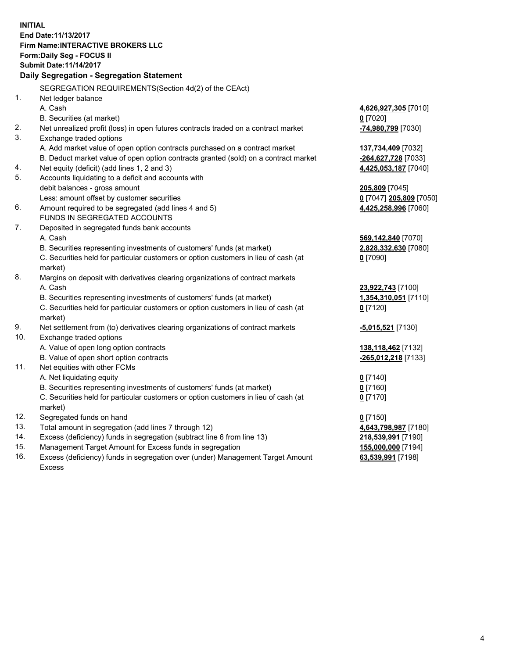**INITIAL End Date:11/13/2017 Firm Name:INTERACTIVE BROKERS LLC Form:Daily Seg - FOCUS II Submit Date:11/14/2017 Daily Segregation - Segregation Statement** SEGREGATION REQUIREMENTS(Section 4d(2) of the CEAct) 1. Net ledger balance A. Cash **4,626,927,305** [7010] B. Securities (at market) **0** [7020] 2. Net unrealized profit (loss) in open futures contracts traded on a contract market **-74,980,799** [7030] 3. Exchange traded options A. Add market value of open option contracts purchased on a contract market **137,734,409** [7032] B. Deduct market value of open option contracts granted (sold) on a contract market **-264,627,728** [7033] 4. Net equity (deficit) (add lines 1, 2 and 3) **4,425,053,187** [7040] 5. Accounts liquidating to a deficit and accounts with debit balances - gross amount **205,809** [7045] Less: amount offset by customer securities **0** [7047] **205,809** [7050] 6. Amount required to be segregated (add lines 4 and 5) **4,425,258,996** [7060] FUNDS IN SEGREGATED ACCOUNTS 7. Deposited in segregated funds bank accounts A. Cash **569,142,840** [7070] B. Securities representing investments of customers' funds (at market) **2,828,332,630** [7080] C. Securities held for particular customers or option customers in lieu of cash (at market) **0** [7090] 8. Margins on deposit with derivatives clearing organizations of contract markets A. Cash **23,922,743** [7100] B. Securities representing investments of customers' funds (at market) **1,354,310,051** [7110] C. Securities held for particular customers or option customers in lieu of cash (at market) **0** [7120] 9. Net settlement from (to) derivatives clearing organizations of contract markets **-5,015,521** [7130] 10. Exchange traded options A. Value of open long option contracts **138,118,462** [7132] B. Value of open short option contracts **-265,012,218** [7133] 11. Net equities with other FCMs A. Net liquidating equity **0** [7140] B. Securities representing investments of customers' funds (at market) **0** [7160] C. Securities held for particular customers or option customers in lieu of cash (at market) **0** [7170] 12. Segregated funds on hand **0** [7150] 13. Total amount in segregation (add lines 7 through 12) **4,643,798,987** [7180] 14. Excess (deficiency) funds in segregation (subtract line 6 from line 13) **218,539,991** [7190] 15. Management Target Amount for Excess funds in segregation **155,000,000** [7194] **63,539,991** [7198]

16. Excess (deficiency) funds in segregation over (under) Management Target Amount Excess